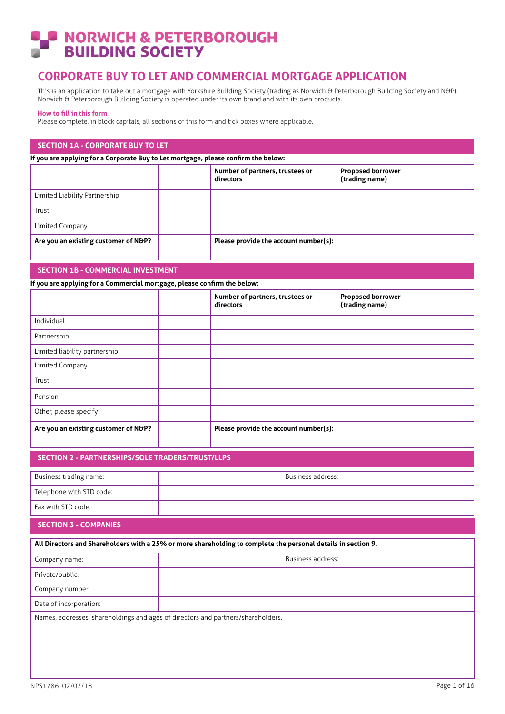# **NORWICH & PETERBOROUGH<br>BUILDING SOCIETY**

# **CORPORATE BUY TO LET AND COMMERCIAL MORTGAGE APPLICATION**

This is an application to take out a mortgage with Yorkshire Building Society (trading as Norwich & Peterborough Building Society and N&P). Norwich & Peterborough Building Society is operated under its own brand and with its own products.

#### **How to fill in this form**

Please complete, in block capitals, all sections of this form and tick boxes where applicable.

## **SECTION 1A - CORPORATE BUY TO LET**

**If you are applying for a Corporate Buy to Let mortgage, please confirm the below:** 

|                                      | Number of partners, trustees or<br>directors | <b>Proposed borrower</b><br>(trading name) |
|--------------------------------------|----------------------------------------------|--------------------------------------------|
| Limited Liability Partnership        |                                              |                                            |
| Trust                                |                                              |                                            |
| Limited Company                      |                                              |                                            |
| Are you an existing customer of N&P? | Please provide the account number(s):        |                                            |

## **SECTION 1B - COMMERCIAL INVESTMENT**

**If you are applying for a Commercial mortgage, please confirm the below:** 

|                                      | Number of partners, trustees or<br>directors | <b>Proposed borrower</b><br>(trading name) |
|--------------------------------------|----------------------------------------------|--------------------------------------------|
| Individual                           |                                              |                                            |
| Partnership                          |                                              |                                            |
| Limited liability partnership        |                                              |                                            |
| Limited Company                      |                                              |                                            |
| Trust                                |                                              |                                            |
| Pension                              |                                              |                                            |
| Other, please specify                |                                              |                                            |
| Are you an existing customer of N&P? | Please provide the account number(s):        |                                            |

## **SECTION 2 - PARTNERSHIPS/SOLE TRADERS/TRUST/LLPS**

| Business trading name:   | Business address: |  |
|--------------------------|-------------------|--|
| Telephone with STD code: |                   |  |
| Fax with STD code:       |                   |  |

# **SECTION 3 - COMPANIES**

| All Directors and Shareholders with a 25% or more shareholding to complete the personal details in section 9. |  |                   |  |  |  |
|---------------------------------------------------------------------------------------------------------------|--|-------------------|--|--|--|
| Company name:                                                                                                 |  | Business address: |  |  |  |
| Private/public:                                                                                               |  |                   |  |  |  |
| Company number:                                                                                               |  |                   |  |  |  |
| Date of incorporation:                                                                                        |  |                   |  |  |  |
| Names, addresses, shareholdings and ages of directors and partners/shareholders.                              |  |                   |  |  |  |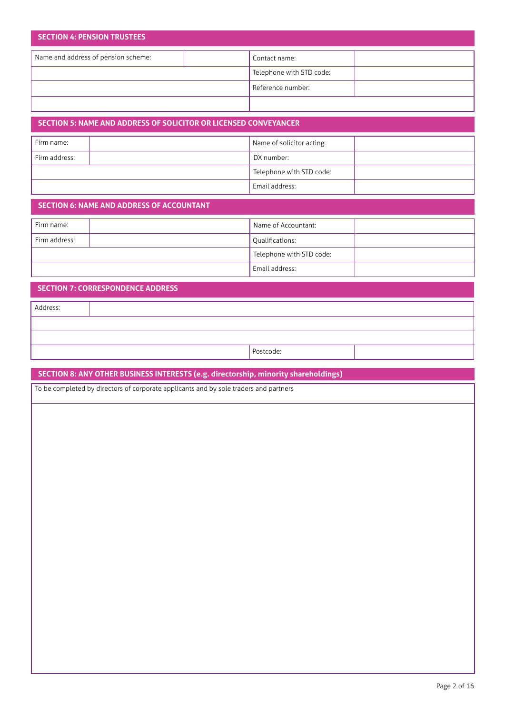| <b>SECTION 4: PENSION TRUSTEES</b>  |  |                          |  |  |  |  |
|-------------------------------------|--|--------------------------|--|--|--|--|
| Name and address of pension scheme: |  | Contact name:            |  |  |  |  |
|                                     |  | Telephone with STD code: |  |  |  |  |
|                                     |  | Reference number:        |  |  |  |  |
|                                     |  |                          |  |  |  |  |

# **SECTION 5: NAME AND ADDRESS OF SOLICITOR OR LICENSED CONVEYANCER** Firm name: Firm address: DX number: Telephone with STD code: Email address: Name of solicitor acting:

## **SECTION 6: NAME AND ADDRESS OF ACCOUNTANT**

| Firm name:    | Name of Accountant:      |  |
|---------------|--------------------------|--|
| Firm address: | Qualifications:          |  |
|               | Telephone with STD code: |  |
|               | Email address:           |  |

## **SECTION 7: CORRESPONDENCE ADDRESS**

Address:

Postcode:

# **SECTION 8: ANY OTHER BUSINESS INTERESTS (e.g. directorship, minority shareholdings)**

To be completed by directors of corporate applicants and by sole traders and partners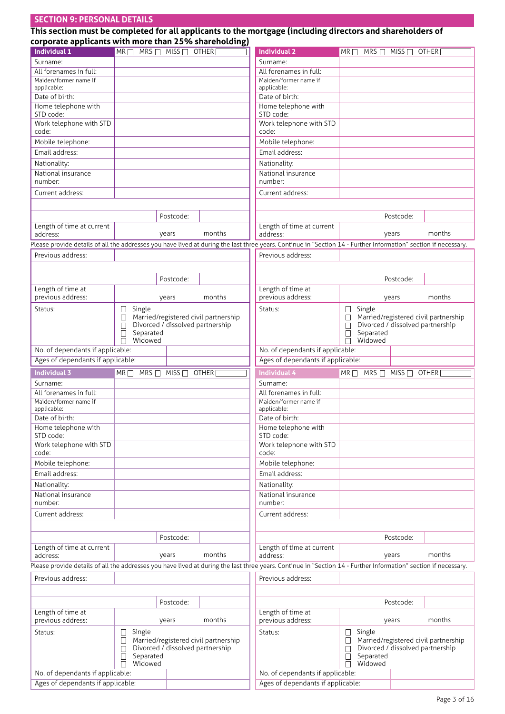# **SECTION 9: PERSONAL DETAILS**

| This section must be completed for all applicants to the mortgage (including directors and shareholders of |
|------------------------------------------------------------------------------------------------------------|
| corporate applicants with more than 25% shareholding)                                                      |

| corporate applicants with more than 23 % shareholding)<br><b>Individual 1</b> | $MRT \Box$ MRS $\Box$ MISS $\Box$ OTHER [ |                        |                                                                          | <b>Individual 2</b>                                                                                                                                             | $MR \Box$        | $MRS \Box$ MISS $\Box$ OTHER           |                                      |
|-------------------------------------------------------------------------------|-------------------------------------------|------------------------|--------------------------------------------------------------------------|-----------------------------------------------------------------------------------------------------------------------------------------------------------------|------------------|----------------------------------------|--------------------------------------|
| Surname:                                                                      |                                           |                        |                                                                          | Surname:                                                                                                                                                        |                  |                                        |                                      |
| All forenames in full:                                                        |                                           |                        |                                                                          | All forenames in full:                                                                                                                                          |                  |                                        |                                      |
| Maiden/former name if                                                         |                                           |                        |                                                                          | Maiden/former name if                                                                                                                                           |                  |                                        |                                      |
| applicable:                                                                   |                                           |                        |                                                                          | applicable:                                                                                                                                                     |                  |                                        |                                      |
| Date of birth:                                                                |                                           |                        |                                                                          | Date of birth:                                                                                                                                                  |                  |                                        |                                      |
| Home telephone with<br>STD code:                                              |                                           |                        |                                                                          | Home telephone with<br>STD code:                                                                                                                                |                  |                                        |                                      |
| Work telephone with STD                                                       |                                           |                        |                                                                          | Work telephone with STD                                                                                                                                         |                  |                                        |                                      |
| code:                                                                         |                                           |                        |                                                                          | code:                                                                                                                                                           |                  |                                        |                                      |
| Mobile telephone:                                                             |                                           |                        |                                                                          | Mobile telephone:                                                                                                                                               |                  |                                        |                                      |
| Email address:                                                                |                                           |                        |                                                                          | Email address:                                                                                                                                                  |                  |                                        |                                      |
| Nationality:                                                                  |                                           |                        |                                                                          | Nationality:                                                                                                                                                    |                  |                                        |                                      |
| National insurance                                                            |                                           |                        |                                                                          | National insurance                                                                                                                                              |                  |                                        |                                      |
| number:                                                                       |                                           |                        |                                                                          | number:                                                                                                                                                         |                  |                                        |                                      |
| Current address:                                                              |                                           |                        |                                                                          | Current address:                                                                                                                                                |                  |                                        |                                      |
|                                                                               |                                           |                        |                                                                          |                                                                                                                                                                 |                  |                                        |                                      |
|                                                                               |                                           | Postcode:              |                                                                          |                                                                                                                                                                 |                  | Postcode:                              |                                      |
| Length of time at current                                                     |                                           |                        |                                                                          | Length of time at current                                                                                                                                       |                  |                                        |                                      |
| address:                                                                      |                                           | years                  | months                                                                   | address:                                                                                                                                                        |                  | years                                  | months                               |
|                                                                               |                                           |                        |                                                                          | Please provide details of all the addresses you have lived at during the last three years. Continue in "Section 14 - Further Information" section if necessary. |                  |                                        |                                      |
| Previous address:                                                             |                                           |                        |                                                                          | Previous address:                                                                                                                                               |                  |                                        |                                      |
|                                                                               |                                           |                        |                                                                          |                                                                                                                                                                 |                  |                                        |                                      |
|                                                                               |                                           | Postcode:              |                                                                          |                                                                                                                                                                 |                  | Postcode:                              |                                      |
| Length of time at                                                             |                                           |                        |                                                                          | Length of time at                                                                                                                                               |                  |                                        |                                      |
| previous address:                                                             |                                           | years                  | months                                                                   | previous address:                                                                                                                                               |                  | years                                  | months                               |
| Status:                                                                       | Single<br>Ш                               |                        |                                                                          | Status:                                                                                                                                                         | Single<br>⊔      |                                        |                                      |
|                                                                               |                                           |                        | Married/registered civil partnership<br>Divorced / dissolved partnership |                                                                                                                                                                 |                  | Divorced / dissolved partnership       | Married/registered civil partnership |
|                                                                               | Separated                                 |                        |                                                                          |                                                                                                                                                                 | Separated        |                                        |                                      |
|                                                                               | Widowed                                   |                        |                                                                          |                                                                                                                                                                 | Widowed          |                                        |                                      |
| No. of dependants if applicable:                                              |                                           |                        |                                                                          | No. of dependants if applicable:                                                                                                                                |                  |                                        |                                      |
| Ages of dependants if applicable:                                             |                                           |                        |                                                                          | Ages of dependants if applicable:                                                                                                                               |                  |                                        |                                      |
|                                                                               |                                           |                        |                                                                          |                                                                                                                                                                 |                  |                                        |                                      |
| <b>Individual 3</b>                                                           | $MR \Box$                                 | $MRS \Box$ MISS $\Box$ | <b>OTHER</b>                                                             | Individual 4                                                                                                                                                    |                  | $MR \Box$ MRS $\Box$ MISS $\Box$ OTHER |                                      |
| Surname:                                                                      |                                           |                        |                                                                          | Surname:                                                                                                                                                        |                  |                                        |                                      |
| All forenames in full:                                                        |                                           |                        |                                                                          | All forenames in full:                                                                                                                                          |                  |                                        |                                      |
| Maiden/former name if                                                         |                                           |                        |                                                                          | Maiden/former name if                                                                                                                                           |                  |                                        |                                      |
| applicable:                                                                   |                                           |                        |                                                                          | applicable:                                                                                                                                                     |                  |                                        |                                      |
| Date of birth:                                                                |                                           |                        |                                                                          | Date of birth:                                                                                                                                                  |                  |                                        |                                      |
| Home telephone with<br>STD code:                                              |                                           |                        |                                                                          | Home telephone with<br>STD code:                                                                                                                                |                  |                                        |                                      |
| Work telephone with STD                                                       |                                           |                        |                                                                          | Work telephone with STD                                                                                                                                         |                  |                                        |                                      |
| code:                                                                         |                                           |                        |                                                                          | code:                                                                                                                                                           |                  |                                        |                                      |
| Mobile telephone:                                                             |                                           |                        |                                                                          | Mobile telephone:                                                                                                                                               |                  |                                        |                                      |
| Email address:                                                                |                                           |                        |                                                                          | Email address:                                                                                                                                                  |                  |                                        |                                      |
| Nationality:                                                                  |                                           |                        |                                                                          | Nationality:                                                                                                                                                    |                  |                                        |                                      |
| National insurance                                                            |                                           |                        |                                                                          | National insurance                                                                                                                                              |                  |                                        |                                      |
| number:                                                                       |                                           |                        |                                                                          | number:                                                                                                                                                         |                  |                                        |                                      |
| Current address:                                                              |                                           |                        |                                                                          | Current address:                                                                                                                                                |                  |                                        |                                      |
|                                                                               |                                           |                        |                                                                          |                                                                                                                                                                 |                  |                                        |                                      |
|                                                                               |                                           | Postcode:              |                                                                          |                                                                                                                                                                 |                  | Postcode:                              |                                      |
| Length of time at current                                                     |                                           |                        |                                                                          | Length of time at current                                                                                                                                       |                  |                                        |                                      |
| address:                                                                      |                                           | years                  | months                                                                   | address:                                                                                                                                                        |                  | years                                  | months                               |
|                                                                               |                                           |                        |                                                                          | Please provide details of all the addresses you have lived at during the last three years. Continue in "Section 14 - Further Information" section if necessary. |                  |                                        |                                      |
| Previous address:                                                             |                                           |                        |                                                                          | Previous address:                                                                                                                                               |                  |                                        |                                      |
|                                                                               |                                           |                        |                                                                          |                                                                                                                                                                 |                  |                                        |                                      |
|                                                                               |                                           | Postcode:              |                                                                          |                                                                                                                                                                 |                  | Postcode:                              |                                      |
| Length of time at                                                             |                                           |                        |                                                                          | Length of time at                                                                                                                                               |                  |                                        |                                      |
| previous address:                                                             |                                           | years                  | months                                                                   | previous address:                                                                                                                                               |                  | years                                  | months                               |
| Status:                                                                       | Single                                    |                        |                                                                          | Status:                                                                                                                                                         | Single<br>$\Box$ |                                        |                                      |
|                                                                               |                                           |                        | Married/registered civil partnership                                     |                                                                                                                                                                 |                  |                                        | Married/registered civil partnership |
|                                                                               | Separated                                 |                        | Divorced / dissolved partnership                                         |                                                                                                                                                                 | Separated        | Divorced / dissolved partnership       |                                      |
|                                                                               | Widowed<br>П                              |                        |                                                                          |                                                                                                                                                                 | Widowed<br>П     |                                        |                                      |
| No. of dependants if applicable:<br>Ages of dependants if applicable:         |                                           |                        |                                                                          | No. of dependants if applicable:<br>Ages of dependants if applicable:                                                                                           |                  |                                        |                                      |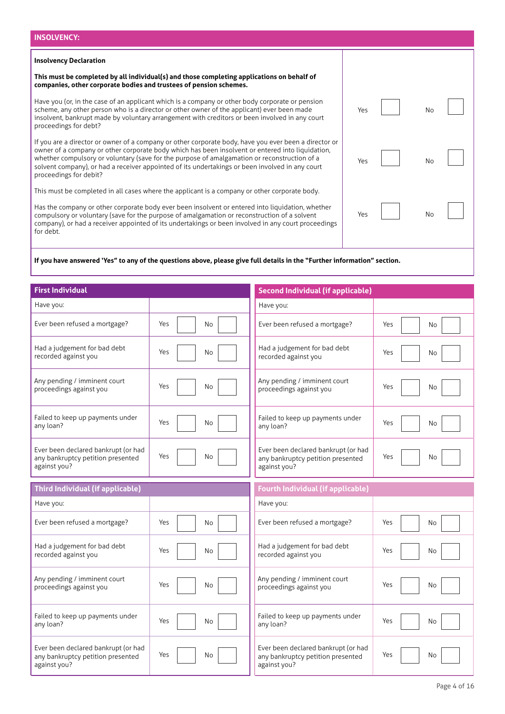| <b>INSOLVENCY:</b>                                                                                                                                                                                                                                                                                                                                                                                                                     |     |    |  |
|----------------------------------------------------------------------------------------------------------------------------------------------------------------------------------------------------------------------------------------------------------------------------------------------------------------------------------------------------------------------------------------------------------------------------------------|-----|----|--|
| <b>Insolvency Declaration</b>                                                                                                                                                                                                                                                                                                                                                                                                          |     |    |  |
| This must be completed by all individual(s) and those completing applications on behalf of<br>companies, other corporate bodies and trustees of pension schemes.                                                                                                                                                                                                                                                                       |     |    |  |
| Have you (or, in the case of an applicant which is a company or other body corporate or pension<br>scheme, any other person who is a director or other owner of the applicant) ever been made<br>insolvent, bankrupt made by voluntary arrangement with creditors or been involved in any court<br>proceedings for debt?                                                                                                               | Yes | No |  |
| If you are a director or owner of a company or other corporate body, have you ever been a director or<br>owner of a company or other corporate body which has been insolvent or entered into liquidation,<br>whether compulsory or voluntary (save for the purpose of amalgamation or reconstruction of a<br>solvent company), or had a receiver appointed of its undertakings or been involved in any court<br>proceedings for debit? | Yes | No |  |
| This must be completed in all cases where the applicant is a company or other corporate body.                                                                                                                                                                                                                                                                                                                                          |     |    |  |
| Has the company or other corporate body ever been insolvent or entered into liquidation, whether<br>compulsory or voluntary (save for the purpose of amalgamation or reconstruction of a solvent<br>company), or had a receiver appointed of its undertakings or been involved in any court proceedings<br>for debt.                                                                                                                   | Yes | No |  |

# **If you have answered 'Yes" to any of the questions above, please give full details in the "Further information" section.**

| <b>First Individual</b>                                                                  |                       | <b>Second Individual (if applicable)</b>                                                 |                       |
|------------------------------------------------------------------------------------------|-----------------------|------------------------------------------------------------------------------------------|-----------------------|
| Have you:                                                                                |                       | Have you:                                                                                |                       |
| Ever been refused a mortgage?                                                            | Yes<br>N <sub>o</sub> | Ever been refused a mortgage?                                                            | Yes<br>No             |
| Had a judgement for bad debt<br>recorded against you                                     | Yes<br>No             | Had a judgement for bad debt<br>recorded against you                                     | Yes<br>No             |
| Any pending / imminent court<br>proceedings against you                                  | Yes<br>No             | Any pending / imminent court<br>proceedings against you                                  | Yes<br>No             |
| Failed to keep up payments under<br>any loan?                                            | Yes<br>No             | Failed to keep up payments under<br>any loan?                                            | Yes<br>No             |
| Ever been declared bankrupt (or had<br>any bankruptcy petition presented<br>against you? | Yes<br>No.            | Ever been declared bankrupt (or had<br>any bankruptcy petition presented<br>against you? | Yes<br>No             |
|                                                                                          |                       |                                                                                          |                       |
| Third Individual (if applicable)                                                         |                       | <b>Fourth Individual (if applicable)</b>                                                 |                       |
| Have you:                                                                                |                       | Have you:                                                                                |                       |
| Ever been refused a mortgage?                                                            | Yes<br>No             | Ever been refused a mortgage?                                                            | Yes<br><b>No</b>      |
| Had a judgement for bad debt<br>recorded against you                                     | Yes<br>No             | Had a judgement for bad debt<br>recorded against you                                     | Yes<br>N <sub>o</sub> |
| Any pending / imminent court<br>proceedings against you                                  | Yes<br>N <sub>o</sub> | Any pending / imminent court<br>proceedings against you                                  | Yes<br>No             |
| Failed to keep up payments under<br>any loan?                                            | Yes<br>No             | Failed to keep up payments under<br>any loan?                                            | Yes<br><b>No</b>      |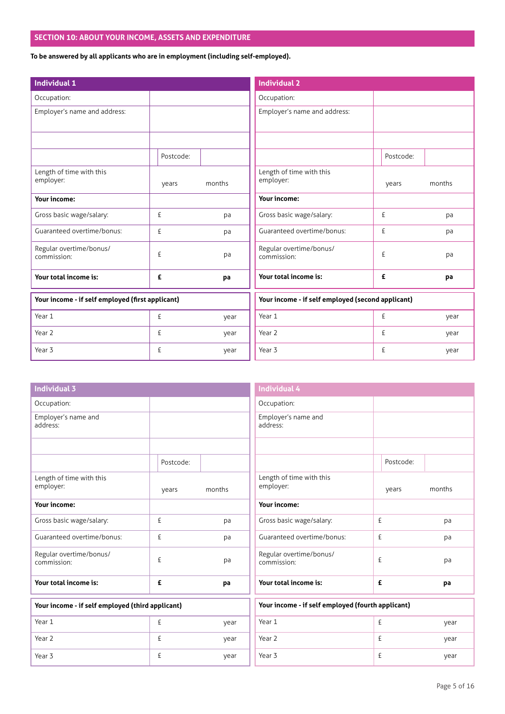# **SECTION 10: ABOUT YOUR INCOME, ASSETS AND EXPENDITURE**

**To be answered by all applicants who are in employment (including self-employed).**

| <b>Individual 1</b>                              |           |        | <b>Individual 2</b>                               |           |        |
|--------------------------------------------------|-----------|--------|---------------------------------------------------|-----------|--------|
| Occupation:                                      |           |        | Occupation:                                       |           |        |
| Employer's name and address:                     |           |        | Employer's name and address:                      |           |        |
|                                                  |           |        |                                                   |           |        |
|                                                  | Postcode: |        |                                                   | Postcode: |        |
| Length of time with this<br>employer:            | years     | months | Length of time with this<br>employer:             | years     | months |
| <b>Your income:</b>                              |           |        | Your income:                                      |           |        |
| Gross basic wage/salary:                         | £         | pa     | Gross basic wage/salary:                          | £         | pa     |
| Guaranteed overtime/bonus:                       | £         | pa     | Guaranteed overtime/bonus:                        | £         | pa     |
| Regular overtime/bonus/<br>commission:           | £         | pa     | Regular overtime/bonus/<br>commission:            | £         | pa     |
| Your total income is:                            | £         | pa     | Your total income is:                             | £         | pa     |
| Your income - if self employed (first applicant) |           |        | Your income - if self employed (second applicant) |           |        |
| Year 1                                           | £         | year   | Year 1                                            | £         | year   |
| Year 2                                           | £         | year   | Year 2                                            | £         | year   |
| Year 3                                           | £         | year   | Year 3                                            | £         | year   |

| <b>Individual 3</b>                              |           |        |
|--------------------------------------------------|-----------|--------|
| Occupation:                                      |           |        |
| Employer's name and<br>address:                  |           |        |
|                                                  |           |        |
|                                                  | Postcode: |        |
| Length of time with this<br>employer:            | years     | months |
| <b>Your income:</b>                              |           |        |
| Gross basic wage/salary:                         | £         | pa     |
| Guaranteed overtime/bonus:                       | f         | pa     |
| Regular overtime/bonus/<br>commission:           | f         | рa     |
| Your total income is:                            | £         | pa     |
| Your income - if self employed (third applicant) |           |        |

£ year £ year £ year

Year 1 Year 2

Year 3

| Postcode: |                                                   |
|-----------|---------------------------------------------------|
| years     | months                                            |
|           |                                                   |
| £         | pa                                                |
| £         | pa                                                |
| £         | pa                                                |
| £         | pa                                                |
|           |                                                   |
| £         | year                                              |
| £         | year                                              |
| £         | year                                              |
|           | Your income - if self employed (fourth applicant) |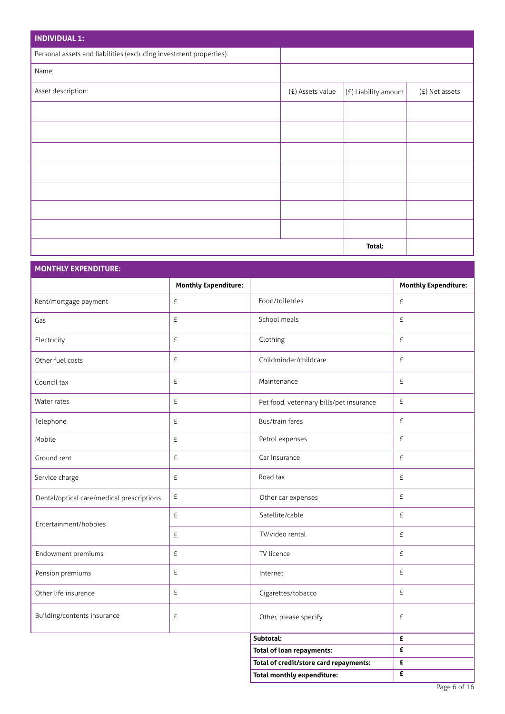| <b>INDIVIDUAL 1:</b>                                               |                  |                        |                |
|--------------------------------------------------------------------|------------------|------------------------|----------------|
| Personal assets and liabilities (excluding investment properties): |                  |                        |                |
| Name:                                                              |                  |                        |                |
| Asset description:                                                 | (£) Assets value | $ E $ Liability amount | (£) Net assets |
|                                                                    |                  |                        |                |
|                                                                    |                  |                        |                |
|                                                                    |                  |                        |                |
|                                                                    |                  |                        |                |
|                                                                    |                  |                        |                |
|                                                                    |                  |                        |                |
|                                                                    |                  |                        |                |
|                                                                    |                  | Total:                 |                |

| <b>MONTHLY EXPENDITURE:</b>               |                             |                                          |                             |
|-------------------------------------------|-----------------------------|------------------------------------------|-----------------------------|
|                                           | <b>Monthly Expenditure:</b> |                                          | <b>Monthly Expenditure:</b> |
| Rent/mortgage payment                     | £                           | Food/toiletries                          | £                           |
| Gas                                       | £                           | School meals                             | £                           |
| Electricity                               | £                           | Clothing                                 | £                           |
| Other fuel costs                          | £                           | Childminder/childcare                    | £                           |
| Council tax                               | £                           | Maintenance                              | £                           |
| Water rates                               | £                           | Pet food, veterinary bills/pet insurance | £                           |
| Telephone                                 | £                           | Bus/train fares                          | £                           |
| Mobile                                    | £                           | Petrol expenses                          | £                           |
| Ground rent                               | £                           | Car insurance                            | £                           |
| Service charge                            | £                           | Road tax                                 | £                           |
| Dental/optical care/medical prescriptions | £                           | Other car expenses                       | £                           |
| Entertainment/hobbies                     | £                           | Satellite/cable                          | £                           |
|                                           | £                           | TV/video rental                          | £                           |
| Endowment premiums                        | £                           | TV licence                               | £                           |
| Pension premiums                          | £                           | Internet                                 | £                           |
| Other life insurance                      | £                           | Cigarettes/tobacco                       | $\pounds$                   |
| Building/contents insurance               | £                           | Other, please specify                    | £                           |
|                                           |                             | Subtotal:                                | £                           |
|                                           |                             | Total of loan repayments:                | £                           |
|                                           |                             | Total of credit/store card repayments:   | £                           |
|                                           |                             | <b>Total monthly expenditure:</b>        | £                           |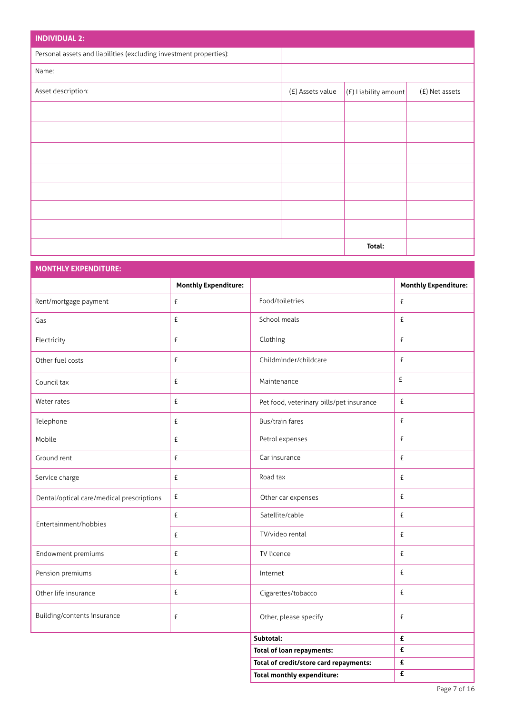| <b>INDIVIDUAL 2:</b>                                               |                  |                        |                |
|--------------------------------------------------------------------|------------------|------------------------|----------------|
| Personal assets and liabilities (excluding investment properties): |                  |                        |                |
| Name:                                                              |                  |                        |                |
| Asset description:                                                 | (£) Assets value | $(f)$ Liability amount | (£) Net assets |
|                                                                    |                  |                        |                |
|                                                                    |                  |                        |                |
|                                                                    |                  |                        |                |
|                                                                    |                  |                        |                |
|                                                                    |                  |                        |                |
|                                                                    |                  |                        |                |
|                                                                    |                  |                        |                |
|                                                                    |                  | Total:                 |                |

| <b>MONTHLY EXPENDITURE:</b>               |                             |                                          |                             |
|-------------------------------------------|-----------------------------|------------------------------------------|-----------------------------|
|                                           | <b>Monthly Expenditure:</b> |                                          | <b>Monthly Expenditure:</b> |
| Rent/mortgage payment                     | £                           | Food/toiletries                          | £                           |
| Gas                                       | £                           | School meals                             | £                           |
| Electricity                               | £                           | Clothing                                 | £                           |
| Other fuel costs                          | £                           | Childminder/childcare                    | £                           |
| Council tax                               | £                           | Maintenance                              | £                           |
| Water rates                               | £                           | Pet food, veterinary bills/pet insurance | £                           |
| Telephone                                 | £                           | Bus/train fares                          | £                           |
| Mobile                                    | £                           | Petrol expenses                          | £                           |
| Ground rent                               | £                           | Car insurance                            | £                           |
| Service charge                            | £                           | Road tax                                 | £                           |
| Dental/optical care/medical prescriptions | £                           | Other car expenses                       | £                           |
| Entertainment/hobbies                     | £                           | Satellite/cable                          | £                           |
|                                           | £                           | TV/video rental                          | £                           |
| Endowment premiums                        | £                           | TV licence                               | £                           |
| Pension premiums                          | £                           | Internet                                 | £                           |
| Other life insurance                      | £                           | Cigarettes/tobacco                       | £                           |
| Building/contents insurance               | £                           | Other, please specify                    | £                           |
|                                           |                             | Subtotal:                                | £                           |
|                                           |                             | <b>Total of loan repayments:</b>         | £                           |
|                                           |                             | Total of credit/store card repayments:   | £                           |

**Total monthly expenditure:**

**£**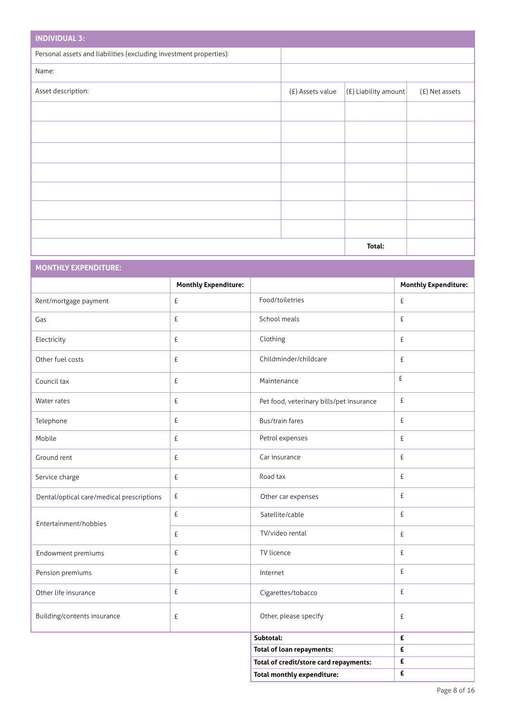| <b>INDIVIDUAL 3:</b>                                               |                  |                        |                |
|--------------------------------------------------------------------|------------------|------------------------|----------------|
| Personal assets and liabilities (excluding investment properties): |                  |                        |                |
| Name:                                                              |                  |                        |                |
| Asset description:                                                 | (£) Assets value | $ E $ Liability amount | (£) Net assets |
|                                                                    |                  |                        |                |
|                                                                    |                  |                        |                |
|                                                                    |                  |                        |                |
|                                                                    |                  |                        |                |
|                                                                    |                  |                        |                |
|                                                                    |                  |                        |                |
|                                                                    |                  |                        |                |
|                                                                    |                  | Total:                 |                |

# **MONTHLY EXPENDITURE:**

|                                           | <b>Monthly Expenditure:</b> |                                          | <b>Monthly Expenditure:</b> |
|-------------------------------------------|-----------------------------|------------------------------------------|-----------------------------|
| Rent/mortgage payment                     | £                           | Food/toiletries                          | £                           |
| Gas                                       | £                           | School meals                             | $\pounds$                   |
| Electricity                               | £                           | Clothing                                 | £                           |
| Other fuel costs                          | £                           | Childminder/childcare                    | £                           |
| Council tax                               | £                           | Maintenance                              | £                           |
| Water rates                               | £                           | Pet food, veterinary bills/pet insurance | £                           |
| Telephone                                 | £                           | Bus/train fares                          | £                           |
| Mobile                                    | £                           | Petrol expenses                          | £                           |
| Ground rent                               | £                           | Car insurance                            | £                           |
| Service charge                            | £                           | Road tax                                 | £                           |
| Dental/optical care/medical prescriptions | £                           | Other car expenses                       | £                           |
| Entertainment/hobbies                     | £                           | Satellite/cable                          | £                           |
|                                           | £                           | TV/video rental                          | £                           |
| Endowment premiums                        | £                           | TV licence                               | £                           |
| Pension premiums                          | £                           | Internet                                 | £                           |
| Other life insurance                      | £                           | Cigarettes/tobacco                       | £                           |
| Building/contents insurance               | £                           | Other, please specify                    | £                           |
|                                           |                             | Subtotal:                                | £                           |
|                                           |                             | <b>Total of loan repayments:</b>         | £                           |
|                                           |                             | Total of credit/store card repayments:   | £                           |
|                                           |                             | <b>Total monthly expenditure:</b>        | £                           |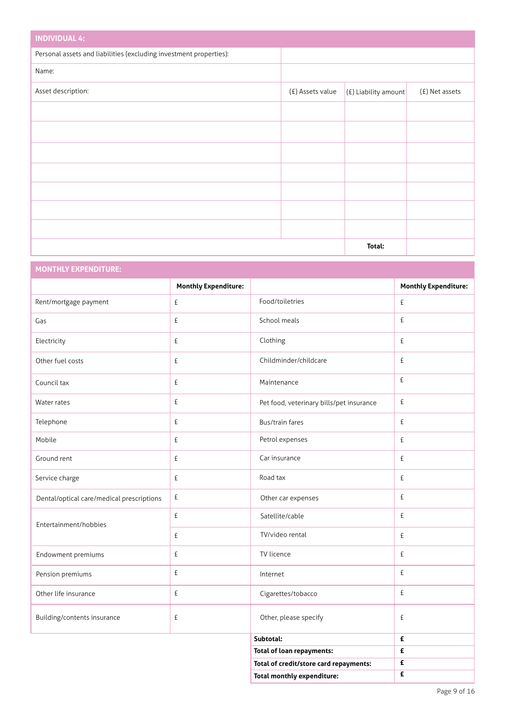| <b>INDIVIDUAL 4:</b>                                               |                  |                        |                |
|--------------------------------------------------------------------|------------------|------------------------|----------------|
| Personal assets and liabilities (excluding investment properties): |                  |                        |                |
| Name:                                                              |                  |                        |                |
| Asset description:                                                 | (£) Assets value | $(E)$ Liability amount | (£) Net assets |
|                                                                    |                  |                        |                |
|                                                                    |                  |                        |                |
|                                                                    |                  |                        |                |
|                                                                    |                  |                        |                |
|                                                                    |                  |                        |                |
|                                                                    |                  |                        |                |
|                                                                    |                  |                        |                |
|                                                                    |                  | Total:                 |                |

# **MONTHLY EXPENDITURE:**

|                                           | <b>Monthly Expenditure:</b> |                                          | <b>Monthly Expenditure:</b> |
|-------------------------------------------|-----------------------------|------------------------------------------|-----------------------------|
| Rent/mortgage payment                     | £                           | Food/toiletries                          | £                           |
| Gas                                       | £                           | School meals                             | £                           |
| Electricity                               | £                           | Clothing                                 | £                           |
| Other fuel costs                          | £                           | Childminder/childcare                    | £                           |
| Council tax                               | £                           | Maintenance                              | $\pounds$                   |
| Water rates                               | £                           | Pet food, veterinary bills/pet insurance | £                           |
| Telephone                                 | £                           | Bus/train fares                          | £                           |
| Mobile                                    | £                           | Petrol expenses                          | £                           |
| Ground rent                               | £                           | Car insurance                            | £                           |
| Service charge                            | £                           | Road tax                                 | £                           |
| Dental/optical care/medical prescriptions | £                           | Other car expenses                       | £                           |
| Entertainment/hobbies                     | £                           | Satellite/cable                          | £                           |
|                                           | £                           | TV/video rental                          | £                           |
| Endowment premiums                        | £                           | TV licence                               | £                           |
| Pension premiums                          | £                           | Internet                                 | £                           |
| Other life insurance                      | £                           | Cigarettes/tobacco                       | £                           |
| Building/contents insurance               | £                           | Other, please specify                    | £                           |
|                                           |                             | Subtotal:                                | £                           |
|                                           |                             | <b>Total of loan repayments:</b>         | £                           |
|                                           |                             | Total of credit/store card repayments:   | £                           |
|                                           |                             | <b>Total monthly expenditure:</b>        | £                           |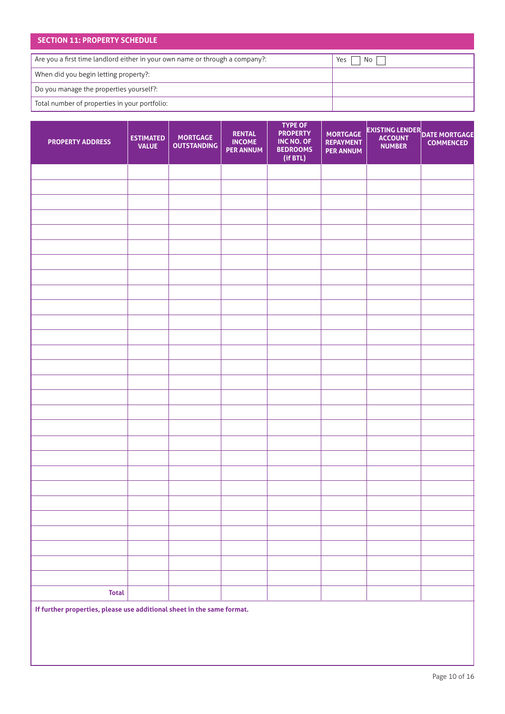# **SECTION 11: PROPERTY SCHEDULE** When did you begin letting property?: Do you manage the properties yourself?: Total number of properties in your portfolio: Are you a first time landlord either in your own name or through a company?:  $\blacksquare$  Yes  $\blacksquare$  No  $\blacksquare$

| <b>PROPERTY ADDRESS</b> | <b>ESTIMATED</b><br><b>VALUE</b> | <b>MORTGAGE</b><br><b>OUTSTANDING</b> | <b>RENTAL</b><br><b>INCOME</b><br><b>PER ANNUM</b> | <b>TYPE OF</b><br><b>PROPERTY</b><br>INC NO. OF<br><b>BEDROOMS</b><br>(if BTL) | <b>MORTGAGE</b><br><b>REPAYMENT</b><br><b>PER ANNUM</b> | EXISTING LENDER<br>COUNT DATE MORTGAGE<br><b>NUMBER</b> | <b>COMMENCED</b> |
|-------------------------|----------------------------------|---------------------------------------|----------------------------------------------------|--------------------------------------------------------------------------------|---------------------------------------------------------|---------------------------------------------------------|------------------|
|                         |                                  |                                       |                                                    |                                                                                |                                                         |                                                         |                  |
|                         |                                  |                                       |                                                    |                                                                                |                                                         |                                                         |                  |
|                         |                                  |                                       |                                                    |                                                                                |                                                         |                                                         |                  |
|                         |                                  |                                       |                                                    |                                                                                |                                                         |                                                         |                  |
|                         |                                  |                                       |                                                    |                                                                                |                                                         |                                                         |                  |
|                         |                                  |                                       |                                                    |                                                                                |                                                         |                                                         |                  |
|                         |                                  |                                       |                                                    |                                                                                |                                                         |                                                         |                  |
|                         |                                  |                                       |                                                    |                                                                                |                                                         |                                                         |                  |
|                         |                                  |                                       |                                                    |                                                                                |                                                         |                                                         |                  |
|                         |                                  |                                       |                                                    |                                                                                |                                                         |                                                         |                  |
|                         |                                  |                                       |                                                    |                                                                                |                                                         |                                                         |                  |
|                         |                                  |                                       |                                                    |                                                                                |                                                         |                                                         |                  |
|                         |                                  |                                       |                                                    |                                                                                |                                                         |                                                         |                  |
|                         |                                  |                                       |                                                    |                                                                                |                                                         |                                                         |                  |
|                         |                                  |                                       |                                                    |                                                                                |                                                         |                                                         |                  |
|                         |                                  |                                       |                                                    |                                                                                |                                                         |                                                         |                  |
|                         |                                  |                                       |                                                    |                                                                                |                                                         |                                                         |                  |
|                         |                                  |                                       |                                                    |                                                                                |                                                         |                                                         |                  |
|                         |                                  |                                       |                                                    |                                                                                |                                                         |                                                         |                  |
|                         |                                  |                                       |                                                    |                                                                                |                                                         |                                                         |                  |
|                         |                                  |                                       |                                                    |                                                                                |                                                         |                                                         |                  |
|                         |                                  |                                       |                                                    |                                                                                |                                                         |                                                         |                  |
|                         |                                  |                                       |                                                    |                                                                                |                                                         |                                                         |                  |
|                         |                                  |                                       |                                                    |                                                                                |                                                         |                                                         |                  |
|                         |                                  |                                       |                                                    |                                                                                |                                                         |                                                         |                  |
|                         |                                  |                                       |                                                    |                                                                                |                                                         |                                                         |                  |
|                         |                                  |                                       |                                                    |                                                                                |                                                         |                                                         |                  |
|                         |                                  |                                       |                                                    |                                                                                |                                                         |                                                         |                  |
| <b>Total</b>            |                                  |                                       |                                                    |                                                                                |                                                         |                                                         |                  |

**If further properties, please use additional sheet in the same format.**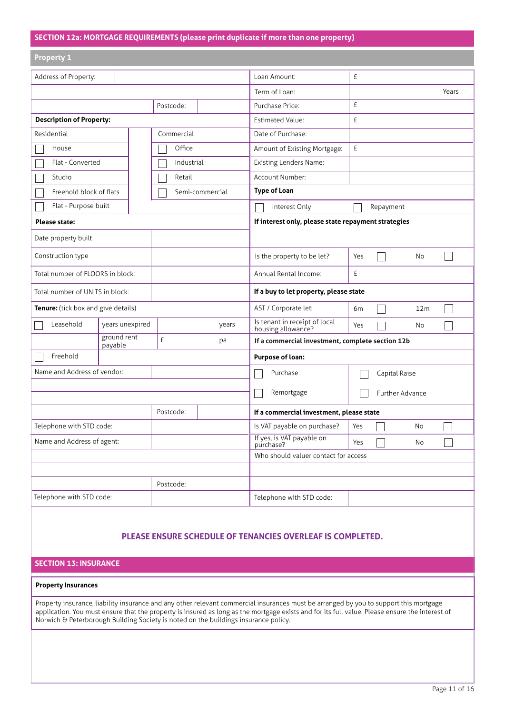# **SECTION 12a: MORTGAGE REQUIREMENTS (please print duplicate if more than one property)**

| <b>Property 1</b>                   |                        |            |                 |                                                     |                 |  |
|-------------------------------------|------------------------|------------|-----------------|-----------------------------------------------------|-----------------|--|
| Address of Property:                |                        |            |                 | Loan Amount:                                        | £               |  |
|                                     |                        |            |                 | Term of Loan:                                       | Years           |  |
|                                     |                        | Postcode:  |                 | Purchase Price:                                     | £               |  |
| <b>Description of Property:</b>     |                        |            |                 | <b>Estimated Value:</b>                             | £               |  |
| Residential                         |                        | Commercial |                 | Date of Purchase:                                   |                 |  |
| House                               |                        | Office     |                 | Amount of Existing Mortgage:                        | £               |  |
| Flat - Converted                    |                        | Industrial |                 | Existing Lenders Name:                              |                 |  |
| Studio                              |                        | Retail     |                 | Account Number:                                     |                 |  |
| Freehold block of flats             |                        |            | Semi-commercial | <b>Type of Loan</b>                                 |                 |  |
| Flat - Purpose built                |                        |            |                 | Interest Only                                       | Repayment       |  |
| <b>Please state:</b>                |                        |            |                 | If interest only, please state repayment strategies |                 |  |
| Date property built                 |                        |            |                 |                                                     |                 |  |
| Construction type                   |                        |            |                 | Is the property to be let?                          | No<br>Yes       |  |
| Total number of FLOORS in block:    |                        |            |                 | Annual Rental Income:                               | £               |  |
| Total number of UNITS in block:     |                        |            |                 | If a buy to let property, please state              |                 |  |
| Tenure: (tick box and give details) |                        |            |                 | AST / Corporate let:                                | 6m<br>12m       |  |
| Leasehold                           | years unexpired        |            | years           | Is tenant in receipt of local<br>housing allowance? | Yes<br>No       |  |
|                                     | ground rent<br>payable | £          | pa              | If a commercial investment, complete section 12b    |                 |  |
| Freehold                            |                        |            |                 | Purpose of loan:                                    |                 |  |
| Name and Address of vendor:         |                        |            |                 | Purchase                                            | Capital Raise   |  |
|                                     |                        |            |                 | Remortgage                                          | Further Advance |  |
|                                     |                        | Postcode:  |                 | If a commercial investment, please state            |                 |  |
| Telephone with STD code:            |                        |            |                 | Is VAT payable on purchase?                         | Yes<br>No       |  |
| Name and Address of agent:          |                        |            |                 | If yes, is VAT payable on<br>purchase?              | Yes<br>No       |  |
|                                     |                        |            |                 | Who should valuer contact for access                |                 |  |
|                                     |                        |            |                 |                                                     |                 |  |
|                                     |                        | Postcode:  |                 |                                                     |                 |  |
| Telephone with STD code:            |                        |            |                 | Telephone with STD code:                            |                 |  |

# **PLEASE ENSURE SCHEDULE OF TENANCIES OVERLEAF IS COMPLETED.**

## **SECTION 13: INSURANCE**

#### **Property Insurances**

Property insurance, liability insurance and any other relevant commercial insurances must be arranged by you to support this mortgage application. You must ensure that the property is insured as long as the mortgage exists and for its full value. Please ensure the interest of Norwich & Peterborough Building Society is noted on the buildings insurance policy.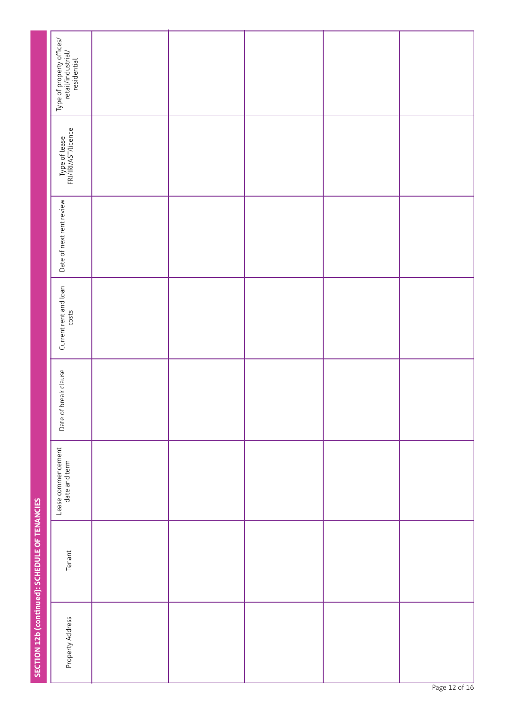|                                                | $\begin{array}{ c } \hline \text{Type of property of }\\ \text{retail} \text{industrial} \\ \text{residential} \end{array}$ |  |  |  |
|------------------------------------------------|-----------------------------------------------------------------------------------------------------------------------------|--|--|--|
|                                                | Type of lease<br>FRI/IRI/AST/licence                                                                                        |  |  |  |
|                                                | Date of next rent review                                                                                                    |  |  |  |
|                                                | Current rent and loan                                                                                                       |  |  |  |
|                                                | Date of break clause                                                                                                        |  |  |  |
|                                                | Lease commencement<br>date and term                                                                                         |  |  |  |
| SECTION 12b (continued): SCHEDULE OF TENANCIES | Tenant                                                                                                                      |  |  |  |
|                                                | Property Address                                                                                                            |  |  |  |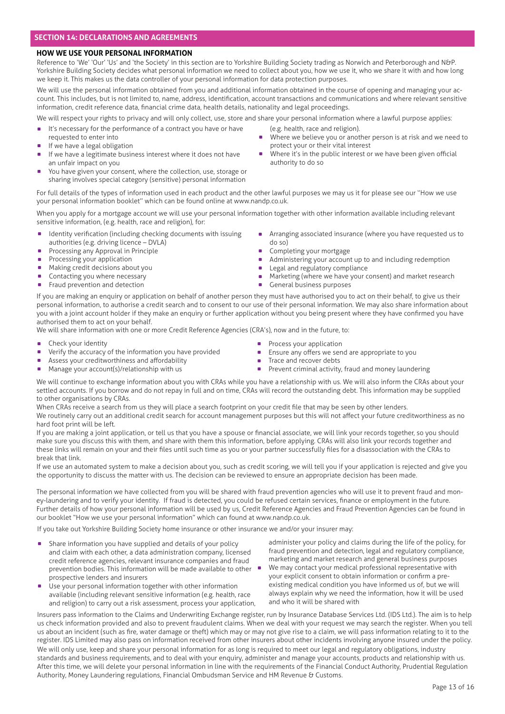## **HOW WE USE YOUR PERSONAL INFORMATION**

Reference to 'We' 'Our' 'Us' and 'the Society' in this section are to Yorkshire Building Society trading as Norwich and Peterborough and N&P. Yorkshire Building Society decides what personal information we need to collect about you, how we use it, who we share it with and how long we keep it. This makes us the data controller of your personal information for data protection purposes.

We will use the personal information obtained from you and additional information obtained in the course of opening and managing your account. This includes, but is not limited to, name, address, identification, account transactions and communications and where relevant sensitive information, credit reference data, financial crime data, health details, nationality and legal proceedings.

We will respect your rights to privacy and will only collect, use, store and share your personal information where a lawful purpose applies:

- . It's necessary for the performance of a contract you have or have
- requested to enter into
- If we have a legal obligation
- If we have a legitimate business interest where it does not have an unfair impact on you
- You have given your consent, where the collection, use, storage or sharing involves special category (sensitive) personal information

For full details of the types of information used in each product and the other lawful purposes we may us it for please see our ''How we use your personal information booklet'' which can be found online at www.nandp.co.uk.

When you apply for a mortgage account we will use your personal information together with other information available including relevant sensitive information, (e.g. health, race and religion), for:

- $\bullet$  Identity verification (including checking documents with issuing authorities (e.g. driving licence – DVLA) authorities (e.g. driving licence – DV<br>Processing any Approval in Principle
- Processing any Approval in<br>• Processing your application
- 
- **Processing your application**<br>**Making credit decisions about you** • Making credit decisions about you Contacting you where necessary
- Contacting you where necessary<br>Fraud prevention and detection
- 
- **.** Arranging associated insurance (where you have requested us to do so)
- **.** Completing your mortgage
- Administering your account up to and including redemption
- 
- 

If you are making an enquiry or application on behalf of another person they must have authorised you to act on their behalf, to give us their personal information, to authorise a credit search and to consent to our use of their personal information. We may also share information about you with a joint account holder if they make an enquiry or further application without you being present where they have confirmed you have authorised them to act on your behalf.

We will share information with one or more Credit Reference Agencies (CRA's), now and in the future, to:

- **.** Check your identity
- **•** Check your identity<br>• Verify the accuracy of the information you have provided
- Verify the accuracy of the information you have Assess your creditworthiness and affordability ■ Assess your creditworthiness and affordability<br>■ Manage your account(s)/relationship with us
- 
- **•** Process your application
- **E** Ensure any offers we send are appropriate to you
- 
- . Prevent criminal activity, fraud and money laundering

We will continue to exchange information about you with CRAs while you have a relationship with us. We will also inform the CRAs about your settled accounts. If you borrow and do not repay in full and on time, CRAs will record the outstanding debt. This information may be supplied to other organisations by CRAs.

When CRAs receive a search from us they will place a search footprint on your credit file that may be seen by other lenders. We routinely carry out an additional credit search for account management purposes but this will not affect your future creditworthiness as no hard foot print will be left.

If you are making a joint application, or tell us that you have a spouse or financial associate, we will link your records together, so you should make sure you discuss this with them, and share with them this information, before applying. CRAs will also link your records together and these links will remain on your and their files until such time as you or your partner successfully files for a disassociation with the CRAs to break that link.

If we use an automated system to make a decision about you, such as credit scoring, we will tell you if your application is rejected and give you the opportunity to discuss the matter with us. The decision can be reviewed to ensure an appropriate decision has been made.

The personal information we have collected from you will be shared with fraud prevention agencies who will use it to prevent fraud and money-laundering and to verify your identity. If fraud is detected, you could be refused certain services, finance or employment in the future. Further details of how your personal information will be used by us, Credit Reference Agencies and Fraud Prevention Agencies can be found in our booklet "How we use your personal information" which can found at www.nandp.co.uk.

If you take out Yorkshire Building Society home insurance or other insurance we and/or your insurer may:

- **.** Share information you have supplied and details of your policy and claim with each other, a data administration company, licensed credit reference agencies, relevant insurance companies and fraud prevention bodies. This information will be made available to other prospective lenders and insurers
- . Use your personal information together with other information available (including relevant sensitive information (e.g. health, race and religion) to carry out a risk assessment, process your application,

administer your policy and claims during the life of the policy, for fraud prevention and detection, legal and regulatory compliance, marketing and market research and general business purposes

. We may contact your medical professional representative with your explicit consent to obtain information or confirm a preexisting medical condition you have informed us of, but we will always explain why we need the information, how it will be used and who it will be shared with

Insurers pass information to the Claims and Underwriting Exchange register, run by Insurance Database Services Ltd. (IDS Ltd.). The aim is to help us check information provided and also to prevent fraudulent claims. When we deal with your request we may search the register. When you tell us about an incident (such as fire, water damage or theft) which may or may not give rise to a claim, we will pass information relating to it to the register. IDS Limited may also pass on information received from other insurers about other incidents involving anyone insured under the policy. We will only use, keep and share your personal information for as long is required to meet our legal and regulatory obligations, industry standards and business requirements, and to deal with your enquiry, administer and manage your accounts, products and relationship with us. After this time, we will delete your personal information in line with the requirements of the Financial Conduct Authority, Prudential Regulation Authority, Money Laundering regulations, Financial Ombudsman Service and HM Revenue & Customs.

. Where we believe you or another person is at risk and we need to

Where it's in the public interest or we have been given official

- 
- 
- **Example 2018** Legal and regulatory compliance

(e.g. health, race and religion).

authority to do so

protect your or their vital interest

. Marketing (where we have your consent) and market research **.** Marketing (where we have<br>**Ceneral business purposes**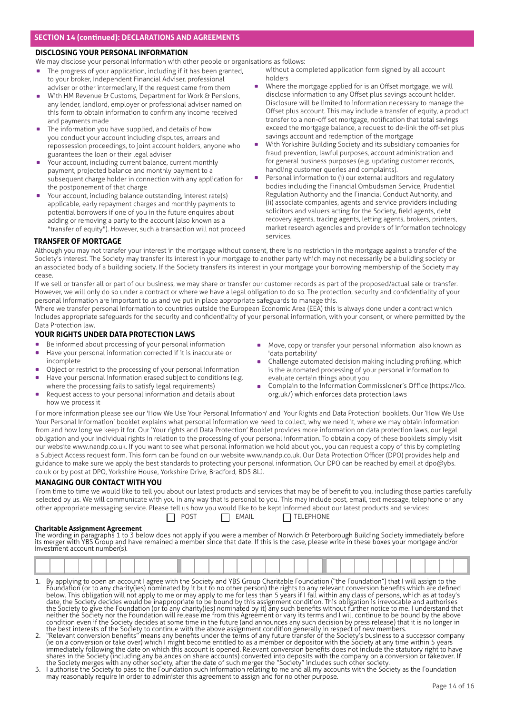## **DISCLOSING YOUR PERSONAL INFORMATION**

We may disclose your personal information with other people or organisations as follows:

- . The progress of your application, including if it has been granted, to your broker, Independent Financial Adviser, professional adviser or other intermediary, if the request came from them
- With HM Revenue & Customs, Department for Work & Pensions, any lender, landlord, employer or professional adviser named on this form to obtain information to confirm any income received and payments made
- The information you have supplied, and details of how you conduct your account including disputes, arrears and repossession proceedings, to joint account holders, anyone who guarantees the loan or their legal adviser
- . Your account, including current balance, current monthly payment, projected balance and monthly payment to a subsequent charge holder in connection with any application for the postponement of that charge
- Your account, including balance outstanding, interest rate(s) applicable, early repayment charges and monthly payments to potential borrowers if one of you in the future enquires about adding or removing a party to the account (also known as a "transfer of equity"). However, such a transaction will not proceed
- without a completed application form signed by all account holders
- Where the mortgage applied for is an Offset mortgage, we will disclose information to any Offset plus savings account holder. Disclosure will be limited to information necessary to manage the Offset plus account. This may include a transfer of equity, a product transfer to a non-off set mortgage, notification that total savings exceed the mortgage balance, a request to de-link the off-set plus savings account and redemption of the mortgage
- . With Yorkshire Building Society and its subsidiary companies for fraud prevention, lawful purposes, account administration and for general business purposes (e.g. updating customer records, handling customer queries and complaints).
- . Personal information to (i) our external auditors and regulatory bodies including the Financial Ombudsman Service, Prudential Regulation Authority and the Financial Conduct Authority, and (ii) associate companies, agents and service providers including solicitors and valuers acting for the Society, field agents, debt recovery agents, tracing agents, letting agents, brokers, printers, market research agencies and providers of information technology services.

## **TRANSFER OF MORTGAGE**

Although you may not transfer your interest in the mortgage without consent, there is no restriction in the mortgage against a transfer of the Society's interest. The Society may transfer its interest in your mortgage to another party which may not necessarily be a building society or an associated body of a building society. If the Society transfers its interest in your mortgage your borrowing membership of the Society may cease.

If we sell or transfer all or part of our business, we may share or transfer our customer records as part of the proposed/actual sale or transfer. However, we will only do so under a contract or where we have a legal obligation to do so. The protection, security and confidentiality of your personal information are important to us and we put in place appropriate safeguards to manage this.

Where we transfer personal information to countries outside the European Economic Area (EEA) this is always done under a contract which includes appropriate safeguards for the security and confidentiality of your personal information, with your consent, or where permitted by the Data Protection law.

## **YOUR RIGHTS UNDER DATA PROTECTION LAWS**

- . Be informed about processing of your personal information
- . Have your personal information corrected if it is inaccurate or incomplete
- incomplete<br>• Object or restrict to the processing of your personal information ■ Object or restrict to the processing of your personal information<br>■ Have your personal information erased subject to conditions (e.g.
- where the processing fails to satisfy legal requirements) Have your personal information erased subject to conditions (e.g. where the processing fails to satisfy legal requirements) Request access to your personal information and details about
- how we process it
- . Move, copy or transfer your personal information also known as 'data portability'
- Challenge automated decision making including profiling, which is the automated processing of your personal information to evaluate certain things about you
- . Complain to the Information Commissioner's Office (https://ico. org.uk/) which enforces data protection laws

For more information please see our 'How We Use Your Personal Information' and 'Your Rights and Data Protection' booklets. Our 'How We Use Your Personal Information' booklet explains what personal information we need to collect, why we need it, where we may obtain information from and how long we keep it for. Our 'Your rights and Data Protection' Booklet provides more information on data protection laws, our legal obligation and your individual rights in relation to the processing of your personal information. To obtain a copy of these booklets simply visit our website www.nandp.co.uk. If you want to see what personal information we hold about you, you can request a copy of this by completing a Subject Access request form. This form can be found on our website www.nandp.co.uk. Our Data Protection Officer (DPO) provides help and guidance to make sure we apply the best standards to protecting your personal information. Our DPO can be reached by email at dpo@ybs. co.uk or by post at DPO, Yorkshire House, Yorkshire Drive, Bradford, BD5 8LJ.

## **MANAGING OUR CONTACT WITH YOU**

From time to time we would like to tell you about our latest products and services that may be of benefi t to you, including those parties carefully selected by us. We will communicate with you in any way that is personal to you. This may include post, email, text message, telephone or any other appropriate messaging service. Please tell us how you would like to be kept informed about our latest products and services:  $\Box$  POST  $\Box$  EMAIL  $\Box$  TELEPHONE

#### **Charitable Assignment Agreement**

The wording in paragraphs 1 to 3 below does not apply if you were a member of Norwich & Peterborough Building Society immediately before its merger with YBS Group and have remained a member since that date. If this is the case, please write in these boxes your mortgage and/or investment account number(s).

- 1. By applying to open an account I agree with the Society and YBS Group Charitable Foundation ("the Foundation") that I will assign to the Fóundation (or to any charity(ies) nominated by it but to no other person) the rights to any relevant conversion benefits which are defined below. This obligation will not apply to me or may apply to me for less than 5 years if I fall within any class of persons, which as at today's date, the Society decides would be inappropriate to be bound by this assignment condition. This obligation is irrevocable and authorises the Society to give the Foundation (or to any charity(ies) nominated by it) any such benefits without further notice to me. I understand that neither the Society nor the Foundation will release me from this Agreement or vary its terms and I will continue to be bound by the above condition even if the Society decides at some time in the future (and announces any such decision by press release) that it is no longer in the best interests of the Society to continue with the above assignment condition generally in respect of new members.
- 2. "Relevant conversion benefits" means any benefits under the terms of any future transfer of the Society's business to a successor company (ie on a conversion or take over) which I might become entitled to as a member or depositor with the Society at any time within 5 years immediately following the date on which this account is opened. Relevant conversion benefits does not include the statutory right to have shares in the Society (including any balances on share accounts) converted into deposits with the company on a conversion or takeover. If the Society merges with any other society, after the date of such merger the "Society" includes such other society.
- 3. I authorise the Society to pass to the Foundation such information relating to me and all my accounts with the Society as the Foundation may reasonably require in order to administer this agreement to assign and for no other purpose.